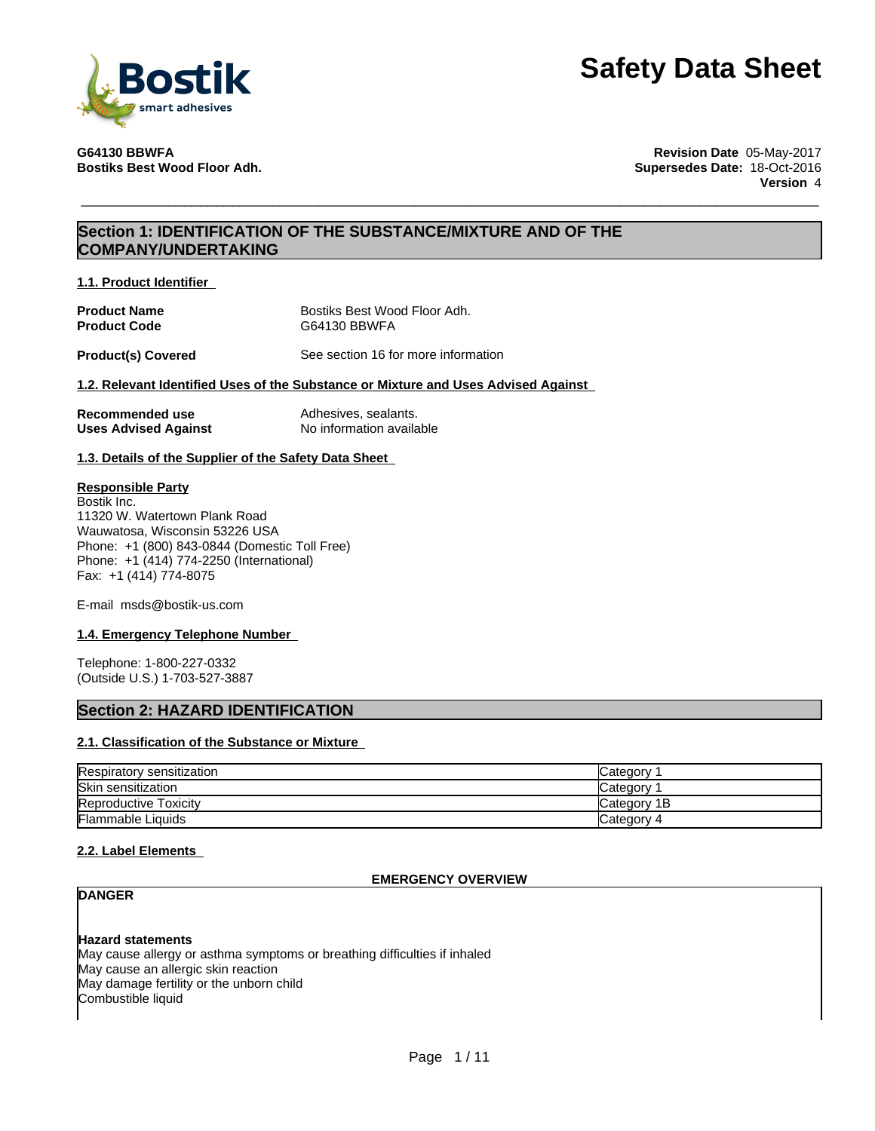

**G64130 BBWFA Revision Date** 05-May-2017 **Bostiks Best Wood Floor Adh. Supersedes Date:** 18-Oct-2016 **Version** 4

# **Section 1: IDENTIFICATION OF THE SUBSTANCE/MIXTURE AND OF THE COMPANY/UNDERTAKING**

**1.1. Product Identifier**

| <b>Product Name</b> | Bostiks Best Wood Floor Adh. |
|---------------------|------------------------------|
| <b>Product Code</b> | G64130 BBWFA                 |

**Product(s) Covered** See section 16 for more information

# **1.2. Relevant Identified Uses of the Substance or Mixture and Uses Advised Against**

| Recommended use             | Adhesives, sealants.     |
|-----------------------------|--------------------------|
| <b>Uses Advised Against</b> | No information available |

**1.3. Details of the Supplier of the Safety Data Sheet**

# **Responsible Party**

Bostik Inc. 11320 W. Watertown Plank Road Wauwatosa, Wisconsin 53226 USA Phone: +1 (800) 843-0844 (Domestic Toll Free) Phone: +1 (414) 774-2250 (International) Fax: +1 (414) 774-8075

E-mail msds@bostik-us.com

# **1.4. Emergency Telephone Number**

Telephone: 1-800-227-0332 (Outside U.S.) 1-703-527-3887

# **Section 2: HAZARD IDENTIFICATION**

# **2.1. Classification of the Substance or Mixture**

| Respiratory sensitization    | Category     |
|------------------------------|--------------|
| <b>Skin sensitization</b>    | Category     |
| <b>Reproductive Toxicity</b> | lCategory 1B |
| <b>Flammable Liquids</b>     | Category 4   |

### **2.2. Label Elements**

# **EMERGENCY OVERVIEW**

**DANGER**

**Hazard statements**

May cause allergy or asthma symptoms or breathing difficulties if inhaled May cause an allergic skin reaction May damage fertility or the unborn child Combustible liquid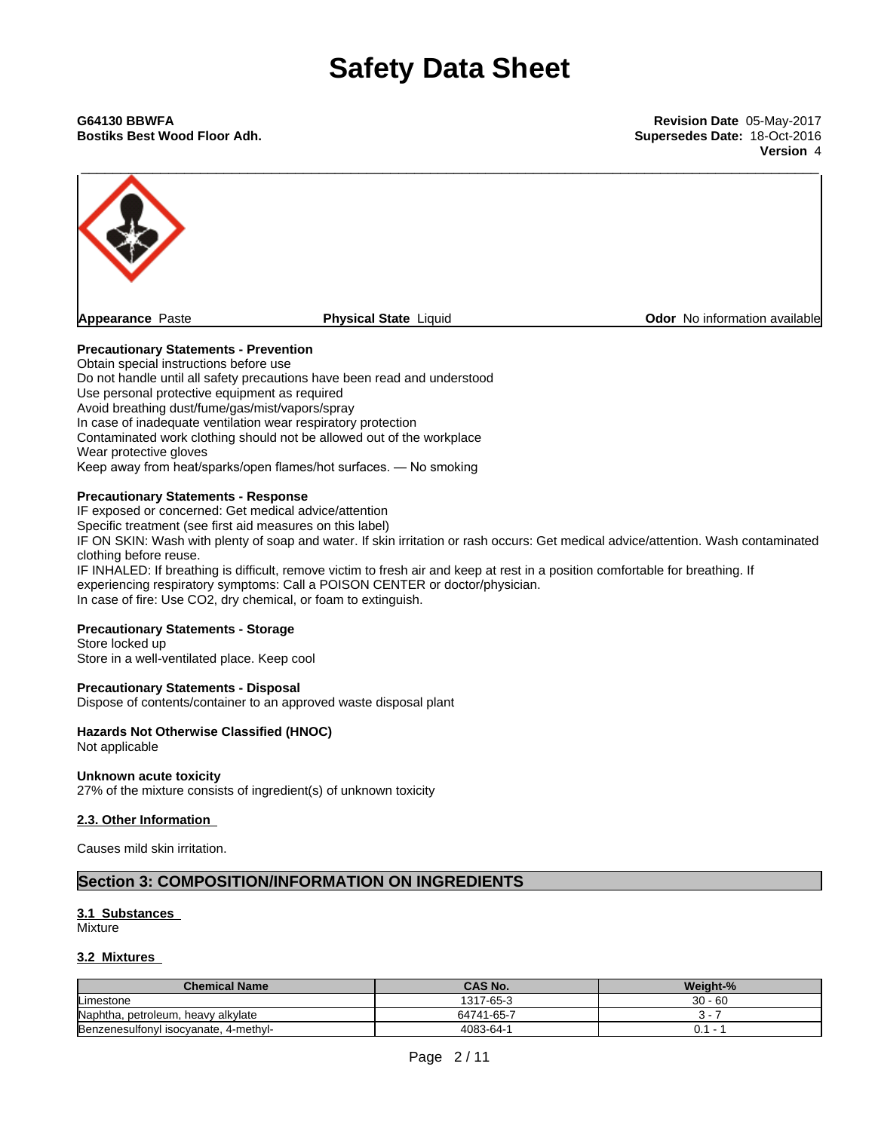**Bostiks Best Wood Floor Adh. Supersedes Date:** 18-Oct-2016

**Version** 4



# **Precautionary Statements - Prevention**

Obtain special instructions before use Do not handle until all safety precautions have been read and understood Use personal protective equipment as required Avoid breathing dust/fume/gas/mist/vapors/spray In case of inadequate ventilation wear respiratory protection Contaminated work clothing should not be allowed out of the workplace Wear protective gloves Keep away from heat/sparks/open flames/hot surfaces. — No smoking

## **Precautionary Statements - Response**

IF exposed or concerned: Get medical advice/attention

Specific treatment (see first aid measures on this label)

IF ON SKIN: Wash with plenty of soap and water. If skin irritation or rash occurs: Get medical advice/attention. Wash contaminated clothing before reuse.

IF INHALED: If breathing is difficult, remove victim to fresh air and keep at rest in a position comfortable for breathing. If experiencing respiratory symptoms: Call a POISON CENTER or doctor/physician. In case of fire: Use CO2, dry chemical, or foam to extinguish.

# **Precautionary Statements - Storage**

Store locked up Store in a well-ventilated place. Keep cool

### **Precautionary Statements - Disposal**

Dispose of contents/container to an approved waste disposal plant

# **Hazards Not Otherwise Classified (HNOC)**

Not applicable

### **Unknown acute toxicity**

27% of the mixture consists of ingredient(s) of unknown toxicity

# **2.3. Other Information**

Causes mild skin irritation.

# **Section 3: COMPOSITION/INFORMATION ON INGREDIENTS**

# **3.1 Substances**

Mixture

# **3.2 Mixtures**

| <b>Chemical Name</b>                         | <b>CAS No.</b> | Weight-%       |
|----------------------------------------------|----------------|----------------|
| Limestone                                    | 1317-65-3      | $30 - 60$      |
| Naphtha,<br>., petroleum, heavy alkylate     | 64741-65-7     |                |
| Benzenesulfonyl isocyanate, Z<br>. 4-methyl- | 4083-64-1      | $\mathsf{v}$ . |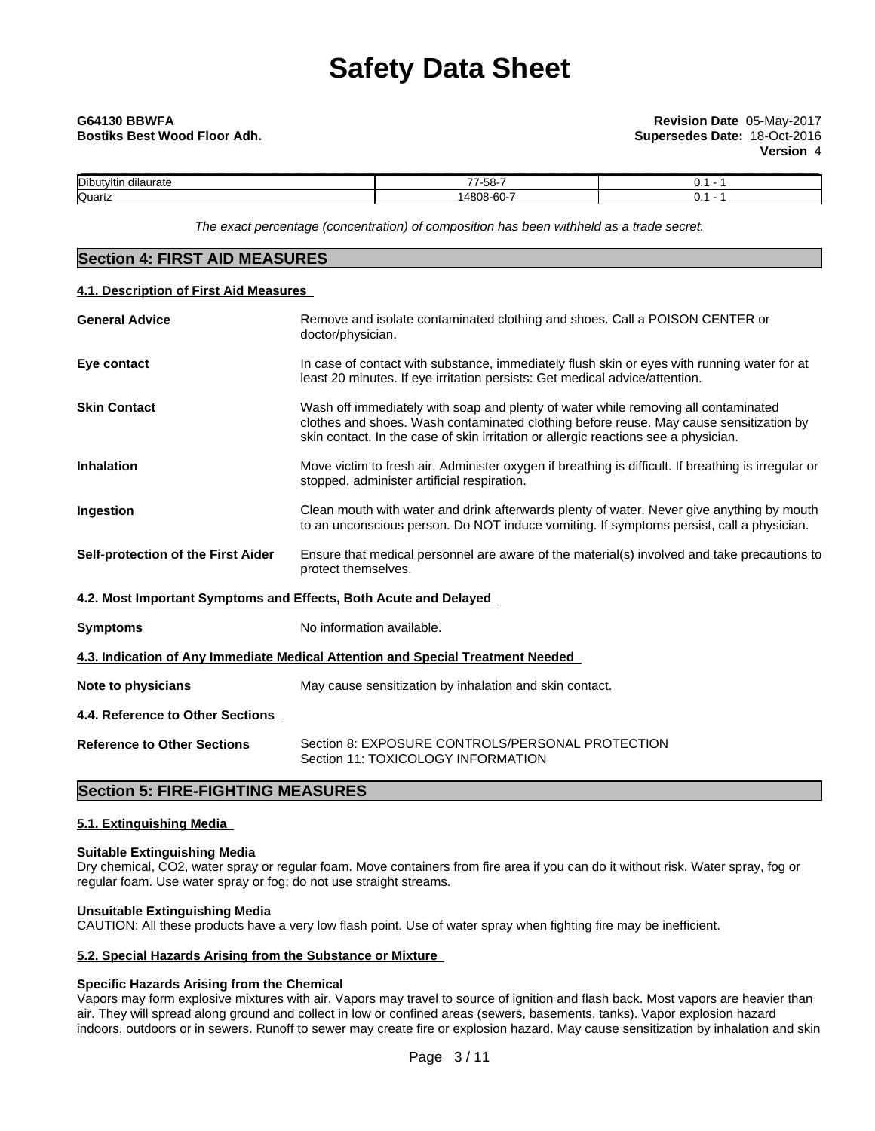| $\cdots$<br>Dibutyltin<br>dilaurate | -<br>$- -$<br>ΓO.<br>-၁၀ | v. |
|-------------------------------------|--------------------------|----|
| Quartz                              | $\sim$<br>، مہ           | v. |

*The exact percentage (concentration) ofcomposition has been withheld as a trade secret.*

| <b>Section 4: FIRST AID MEASURES</b>      |                                                                                                                                                                                                                                                                     |
|-------------------------------------------|---------------------------------------------------------------------------------------------------------------------------------------------------------------------------------------------------------------------------------------------------------------------|
| 4.1. Description of First Aid Measures    |                                                                                                                                                                                                                                                                     |
| <b>General Advice</b>                     | Remove and isolate contaminated clothing and shoes. Call a POISON CENTER or<br>doctor/physician.                                                                                                                                                                    |
| Eye contact                               | In case of contact with substance, immediately flush skin or eyes with running water for at<br>least 20 minutes. If eye irritation persists: Get medical advice/attention.                                                                                          |
| <b>Skin Contact</b>                       | Wash off immediately with soap and plenty of water while removing all contaminated<br>clothes and shoes. Wash contaminated clothing before reuse. May cause sensitization by<br>skin contact. In the case of skin irritation or allergic reactions see a physician. |
| <b>Inhalation</b>                         | Move victim to fresh air. Administer oxygen if breathing is difficult. If breathing is irregular or<br>stopped, administer artificial respiration.                                                                                                                  |
| Ingestion                                 | Clean mouth with water and drink afterwards plenty of water. Never give anything by mouth<br>to an unconscious person. Do NOT induce vomiting. If symptoms persist, call a physician.                                                                               |
| <b>Self-protection of the First Aider</b> | Ensure that medical personnel are aware of the material(s) involved and take precautions to<br>protect themselves.                                                                                                                                                  |
|                                           | 4.2. Most Important Symptoms and Effects, Both Acute and Delayed                                                                                                                                                                                                    |
| <b>Symptoms</b>                           | No information available.                                                                                                                                                                                                                                           |
|                                           | 4.3. Indication of Any Immediate Medical Attention and Special Treatment Needed                                                                                                                                                                                     |
| Note to physicians                        | May cause sensitization by inhalation and skin contact.                                                                                                                                                                                                             |
| 4.4. Reference to Other Sections          |                                                                                                                                                                                                                                                                     |
| <b>Reference to Other Sections</b>        | Section 8: EXPOSURE CONTROLS/PERSONAL PROTECTION<br>Section 11: TOXICOLOGY INFORMATION                                                                                                                                                                              |
|                                           |                                                                                                                                                                                                                                                                     |

# **Section 5: FIRE-FIGHTING MEASURES**

# **5.1. Extinguishing Media**

# **Suitable Extinguishing Media**

Dry chemical, CO2, water spray or regular foam. Move containers from fire area if you can do it without risk. Water spray, fog or regular foam. Use water spray or fog; do not use straight streams.

# **Unsuitable Extinguishing Media**

CAUTION: All these products have a very low flash point. Use of water spray when fighting fire may be inefficient.

# **5.2. Special Hazards Arising from the Substance or Mixture**

# **Specific Hazards Arising from the Chemical**

Vapors may form explosive mixtures with air. Vapors may travel to source of ignition and flash back. Most vapors are heavier than air. They will spread along ground and collect in low or confined areas (sewers, basements, tanks). Vapor explosion hazard indoors, outdoors or in sewers. Runoff to sewer may create fire or explosion hazard. May cause sensitization by inhalation and skin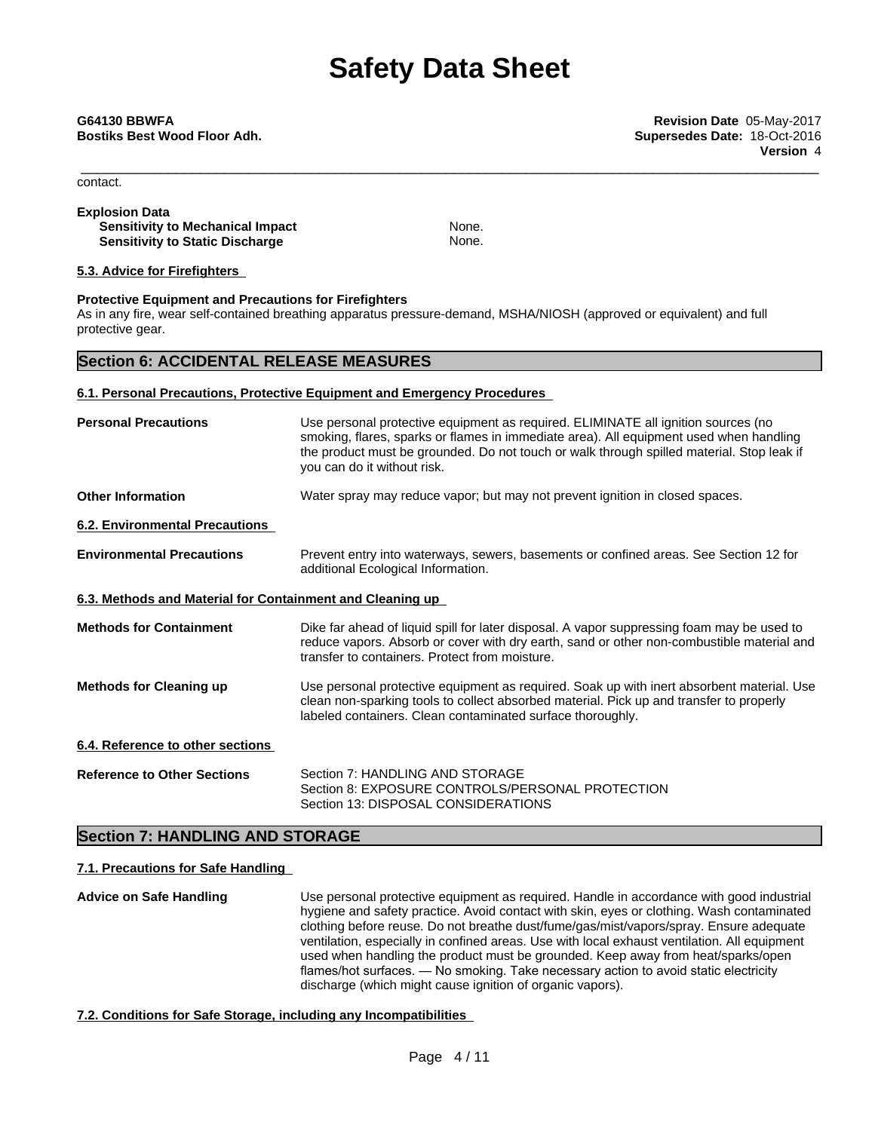\_\_\_\_\_\_\_\_\_\_\_\_\_\_\_\_\_\_\_\_\_\_\_\_\_\_\_\_\_\_\_\_\_\_\_\_\_\_\_\_\_\_\_\_\_\_\_\_\_\_\_\_\_\_\_\_\_\_\_\_\_\_\_\_\_\_\_\_\_\_\_\_\_\_\_\_\_\_\_\_\_\_\_\_\_\_\_\_\_\_\_\_\_ **G64130 BBWFA Revision Date** 05-May-2017 **Bostiks Best Wood Floor Adh. Supersedes Date:** 18-Oct-2016 **Version** 4

contact.

# **Explosion Data Sensitivity to Mechanical Impact** None. **Sensitivity to Static Discharge** None.

# **5.3. Advice for Firefighters**

# **Protective Equipment and Precautions for Firefighters**

As in any fire, wear self-contained breathing apparatus pressure-demand, MSHA/NIOSH (approved or equivalent) and full protective gear.

# **Section 6: ACCIDENTAL RELEASE MEASURES**

# **6.1. Personal Precautions, Protective Equipment and Emergency Procedures**

| <b>Personal Precautions</b>                               | Use personal protective equipment as required. ELIMINATE all ignition sources (no<br>smoking, flares, sparks or flames in immediate area). All equipment used when handling<br>the product must be grounded. Do not touch or walk through spilled material. Stop leak if<br>you can do it without risk. |
|-----------------------------------------------------------|---------------------------------------------------------------------------------------------------------------------------------------------------------------------------------------------------------------------------------------------------------------------------------------------------------|
| <b>Other Information</b>                                  | Water spray may reduce vapor; but may not prevent ignition in closed spaces.                                                                                                                                                                                                                            |
| 6.2. Environmental Precautions                            |                                                                                                                                                                                                                                                                                                         |
| <b>Environmental Precautions</b>                          | Prevent entry into waterways, sewers, basements or confined areas. See Section 12 for<br>additional Ecological Information.                                                                                                                                                                             |
| 6.3. Methods and Material for Containment and Cleaning up |                                                                                                                                                                                                                                                                                                         |
| <b>Methods for Containment</b>                            | Dike far ahead of liquid spill for later disposal. A vapor suppressing foam may be used to<br>reduce vapors. Absorb or cover with dry earth, sand or other non-combustible material and<br>transfer to containers. Protect from moisture.                                                               |
| <b>Methods for Cleaning up</b>                            | Use personal protective equipment as required. Soak up with inert absorbent material. Use<br>clean non-sparking tools to collect absorbed material. Pick up and transfer to properly<br>labeled containers. Clean contaminated surface thoroughly.                                                      |
| 6.4. Reference to other sections                          |                                                                                                                                                                                                                                                                                                         |
| <b>Reference to Other Sections</b>                        | Section 7: HANDLING AND STORAGE<br>Section 8: EXPOSURE CONTROLS/PERSONAL PROTECTION<br>Section 13: DISPOSAL CONSIDERATIONS                                                                                                                                                                              |
|                                                           |                                                                                                                                                                                                                                                                                                         |

# **Section 7: HANDLING AND STORAGE**

# **7.1. Precautions for Safe Handling**

**Advice on Safe Handling** Use personal protective equipment as required.Handle in accordance with good industrial hygiene and safety practice. Avoid contact with skin, eyes or clothing. Wash contaminated clothing before reuse. Do not breathe dust/fume/gas/mist/vapors/spray. Ensure adequate ventilation, especially in confined areas. Use with local exhaust ventilation. All equipment used when handling the product must be grounded. Keep away from heat/sparks/open flames/hot surfaces. — No smoking. Take necessary action to avoid static electricity discharge (which might cause ignition of organic vapors).

# **7.2. Conditions for Safe Storage, including any Incompatibilities**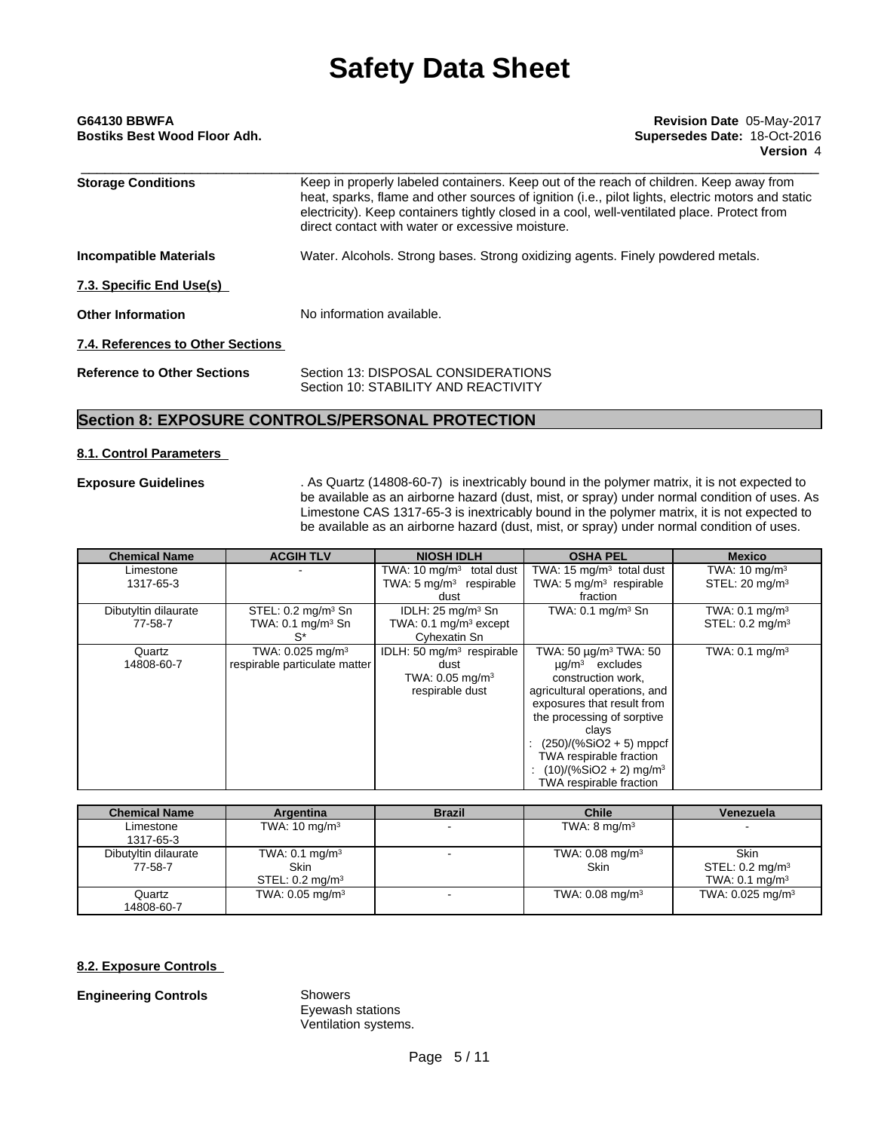| G64130 BBWFA<br>Bostiks Best Wood Floor Adh. | Revision Date 05-May-2017<br>Supersedes Date: 18-Oct-2016<br>Version 4                                                                                                                                                                                                                                                                         |
|----------------------------------------------|------------------------------------------------------------------------------------------------------------------------------------------------------------------------------------------------------------------------------------------------------------------------------------------------------------------------------------------------|
| <b>Storage Conditions</b>                    | Keep in properly labeled containers. Keep out of the reach of children. Keep away from<br>heat, sparks, flame and other sources of ignition (i.e., pilot lights, electric motors and static<br>electricity). Keep containers tightly closed in a cool, well-ventilated place. Protect from<br>direct contact with water or excessive moisture. |
| Incompatible Materials                       | Water. Alcohols. Strong bases. Strong oxidizing agents. Finely powdered metals.                                                                                                                                                                                                                                                                |
| 7.3. Specific End Use(s)                     |                                                                                                                                                                                                                                                                                                                                                |
| <b>Other Information</b>                     | No information available.                                                                                                                                                                                                                                                                                                                      |
| 7.4. References to Other Sections            |                                                                                                                                                                                                                                                                                                                                                |
| <b>Reference to Other Sections</b>           | Section 13: DISPOSAL CONSIDERATIONS<br>Section 10: STABILITY AND REACTIVITY                                                                                                                                                                                                                                                                    |

# **Section 8: EXPOSURE CONTROLS/PERSONAL PROTECTION**

# **8.1. Control Parameters**

**Exposure Guidelines** . As Quartz (14808-60-7) is inextricably bound in the polymer matrix, it is not expected to be available as an airborne hazard (dust, mist, or spray) under normal condition of uses. As Limestone CAS 1317-65-3 is inextricably bound in the polymer matrix, it is not expected to be available as an airborne hazard (dust, mist, or spray) under normal condition of uses.

| <b>Chemical Name</b> | <b>ACGIH TLV</b>               | <b>NIOSH IDLH</b>                     | <b>OSHA PEL</b>                      | <b>Mexico</b>                |
|----------------------|--------------------------------|---------------------------------------|--------------------------------------|------------------------------|
| Limestone            |                                | TWA: 10 $mq/m3$ total dust            | TWA: $15 \text{ mg/m}^3$ total dust  | TWA: $10 \text{ mg/m}^3$     |
| 1317-65-3            |                                | TWA: $5 \text{ mg/m}^3$ respirable    | TWA: $5 \text{ mg/m}^3$ respirable   | STEL: $20 \text{ mg/m}^3$    |
|                      |                                | dust                                  | fraction                             |                              |
| Dibutyltin dilaurate | STEL: $0.2 \text{ mg/m}^3$ Sn  | IDLH: $25 \text{ mg/m}^3$ Sn          | TWA: $0.1 \text{ mg/m}^3$ Sn         | TWA: $0.1 \text{ mg/m}^3$    |
| 77-58-7              | TWA: $0.1 \text{ mg/m}^3$ Sn   | TWA: $0.1 \text{ mg/m}^3$ except      |                                      | STEL: $0.2 \text{ mg/m}^3$   |
|                      | $S^*$                          | Cyhexatin Sn                          |                                      |                              |
| Quartz               | TWA: $0.025$ mg/m <sup>3</sup> | IDLH: 50 mg/m <sup>3</sup> respirable | TWA: 50 μg/m <sup>3</sup> TWA: 50    | TWA: $0.1$ mg/m <sup>3</sup> |
| 14808-60-7           | respirable particulate matter  | dust                                  | $\mu$ g/m <sup>3</sup> excludes      |                              |
|                      |                                | TWA: $0.05 \text{ mg/m}^3$            | construction work,                   |                              |
|                      |                                | respirable dust                       | agricultural operations, and         |                              |
|                      |                                |                                       | exposures that result from           |                              |
|                      |                                |                                       | the processing of sorptive           |                              |
|                      |                                |                                       | clays                                |                              |
|                      |                                |                                       | $(250)/(%SiO2 + 5)$ mppcf            |                              |
|                      |                                |                                       | TWA respirable fraction              |                              |
|                      |                                |                                       | $(10)/(%SiO2 + 2)$ mg/m <sup>3</sup> |                              |
|                      |                                |                                       | TWA respirable fraction              |                              |

| <b>Chemical Name</b>            | Argentina                                                              | <b>Brazil</b> | <b>Chile</b>                              | Venezuela                                                              |
|---------------------------------|------------------------------------------------------------------------|---------------|-------------------------------------------|------------------------------------------------------------------------|
| Limestone<br>1317-65-3          | TWA: $10 \text{ mg/m}^3$                                               |               | TWA: $8 \text{ mg/m}^3$                   |                                                                        |
| Dibutyltin dilaurate<br>77-58-7 | TWA: $0.1 \text{ mg/m}^3$<br><b>Skin</b><br>STEL: $0.2 \text{ mg/m}^3$ |               | TWA: $0.08 \text{ mg/m}^3$<br><b>Skin</b> | <b>Skin</b><br>STEL: $0.2 \text{ mg/m}^3$<br>TWA: $0.1 \text{ mg/m}^3$ |
| Quartz<br>14808-60-7            | TWA: $0.05 \text{ mg/m}^3$                                             |               | TWA: $0.08 \text{ mg/m}^3$                | TWA: $0.025 \text{ mg/m}^3$                                            |

# **8.2. Exposure Controls**

**Engineering Controls** Showers

Eyewash stations Ventilation systems.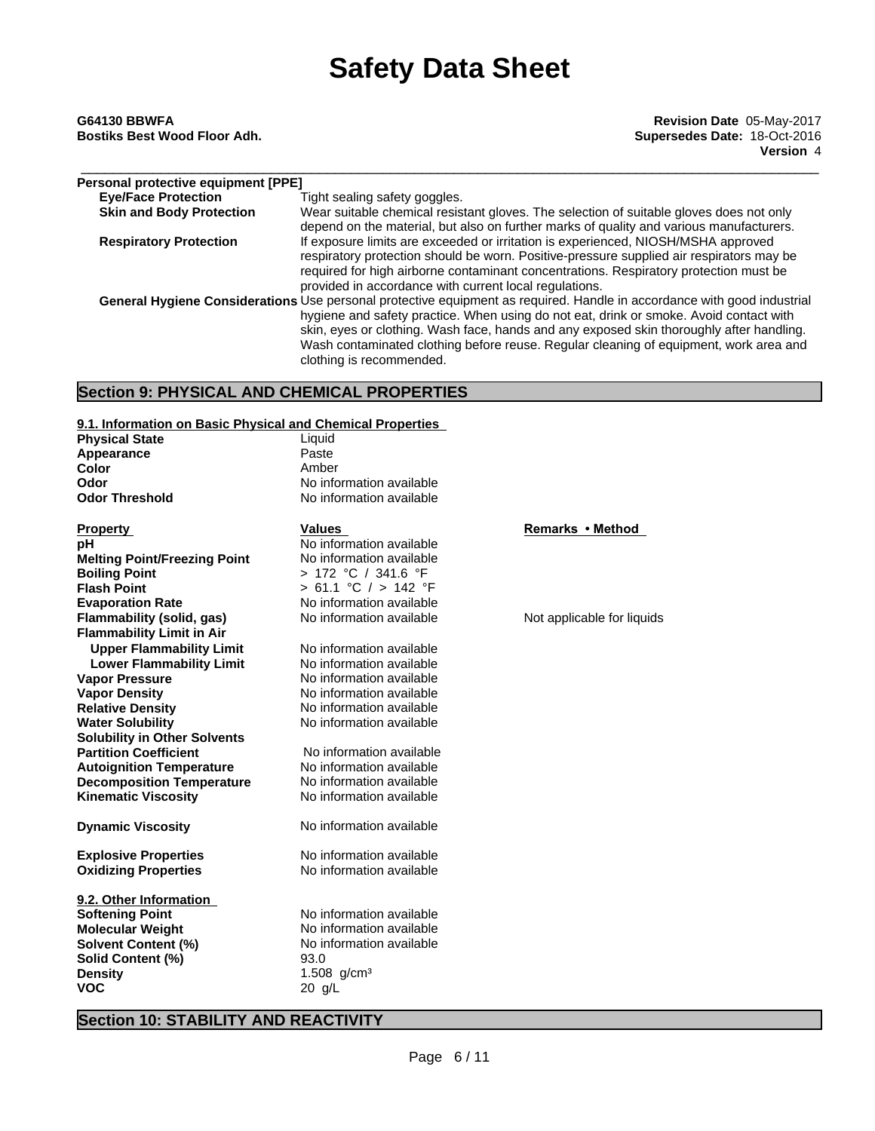\_\_\_\_\_\_\_\_\_\_\_\_\_\_\_\_\_\_\_\_\_\_\_\_\_\_\_\_\_\_\_\_\_\_\_\_\_\_\_\_\_\_\_\_\_\_\_\_\_\_\_\_\_\_\_\_\_\_\_\_\_\_\_\_\_\_\_\_\_\_\_\_\_\_\_\_\_\_\_\_\_\_\_\_\_\_\_\_\_\_\_\_\_ **G64130 BBWFA Revision Date** 05-May-2017 **Bostiks Best Wood Floor Adh. Supersedes Date:** 18-Oct-2016 **Version** 4

| Personal protective equipment [PPE] |                                                                                                                                                                                                                                                                                                                                                                                                                                    |
|-------------------------------------|------------------------------------------------------------------------------------------------------------------------------------------------------------------------------------------------------------------------------------------------------------------------------------------------------------------------------------------------------------------------------------------------------------------------------------|
| <b>Eye/Face Protection</b>          | Tight sealing safety goggles.                                                                                                                                                                                                                                                                                                                                                                                                      |
| <b>Skin and Body Protection</b>     | Wear suitable chemical resistant gloves. The selection of suitable gloves does not only<br>depend on the material, but also on further marks of quality and various manufacturers.                                                                                                                                                                                                                                                 |
| <b>Respiratory Protection</b>       | If exposure limits are exceeded or irritation is experienced, NIOSH/MSHA approved<br>respiratory protection should be worn. Positive-pressure supplied air respirators may be<br>required for high airborne contaminant concentrations. Respiratory protection must be<br>provided in accordance with current local regulations.                                                                                                   |
|                                     | General Hygiene Considerations Use personal protective equipment as required. Handle in accordance with good industrial<br>hygiene and safety practice. When using do not eat, drink or smoke. Avoid contact with<br>skin, eyes or clothing. Wash face, hands and any exposed skin thoroughly after handling.<br>Wash contaminated clothing before reuse. Regular cleaning of equipment, work area and<br>clothing is recommended. |

# **Section 9: PHYSICAL AND CHEMICAL PROPERTIES**

| 9.1. Information on Basic Phvsical and Chemical Properties |
|------------------------------------------------------------|
|------------------------------------------------------------|

| 9.1. Information on Basic Physical and Chemical Properties |                          |                            |
|------------------------------------------------------------|--------------------------|----------------------------|
| <b>Physical State</b>                                      | Liquid                   |                            |
| Appearance                                                 | Paste                    |                            |
| Color                                                      | Amber                    |                            |
| Odor                                                       | No information available |                            |
| <b>Odor Threshold</b>                                      | No information available |                            |
| <b>Property</b>                                            | <b>Values</b>            | Remarks • Method           |
| рH                                                         | No information available |                            |
| <b>Melting Point/Freezing Point</b>                        | No information available |                            |
| <b>Boiling Point</b>                                       | > 172 °C / 341.6 °F      |                            |
| <b>Flash Point</b>                                         | > 61.1 °C / > 142 °F     |                            |
| <b>Evaporation Rate</b>                                    | No information available |                            |
| Flammability (solid, gas)                                  | No information available | Not applicable for liquids |
| <b>Flammability Limit in Air</b>                           |                          |                            |
| <b>Upper Flammability Limit</b>                            | No information available |                            |
| <b>Lower Flammability Limit</b>                            | No information available |                            |
| <b>Vapor Pressure</b>                                      | No information available |                            |
| <b>Vapor Density</b>                                       | No information available |                            |
| <b>Relative Density</b>                                    | No information available |                            |
| <b>Water Solubility</b>                                    | No information available |                            |
| <b>Solubility in Other Solvents</b>                        |                          |                            |
| <b>Partition Coefficient</b>                               | No information available |                            |
| <b>Autoignition Temperature</b>                            | No information available |                            |
| <b>Decomposition Temperature</b>                           | No information available |                            |
| <b>Kinematic Viscosity</b>                                 | No information available |                            |
| <b>Dynamic Viscosity</b>                                   | No information available |                            |
| <b>Explosive Properties</b>                                | No information available |                            |
| <b>Oxidizing Properties</b>                                | No information available |                            |
| 9.2. Other Information                                     |                          |                            |
| <b>Softening Point</b>                                     | No information available |                            |
| <b>Molecular Weight</b>                                    | No information available |                            |
| <b>Solvent Content (%)</b>                                 | No information available |                            |
| Solid Content (%)                                          | 93.0                     |                            |
| <b>Density</b>                                             | 1.508 $g/cm^{3}$         |                            |
| <b>VOC</b>                                                 | $20$ g/L                 |                            |

# **Section 10: STABILITY AND REACTIVITY**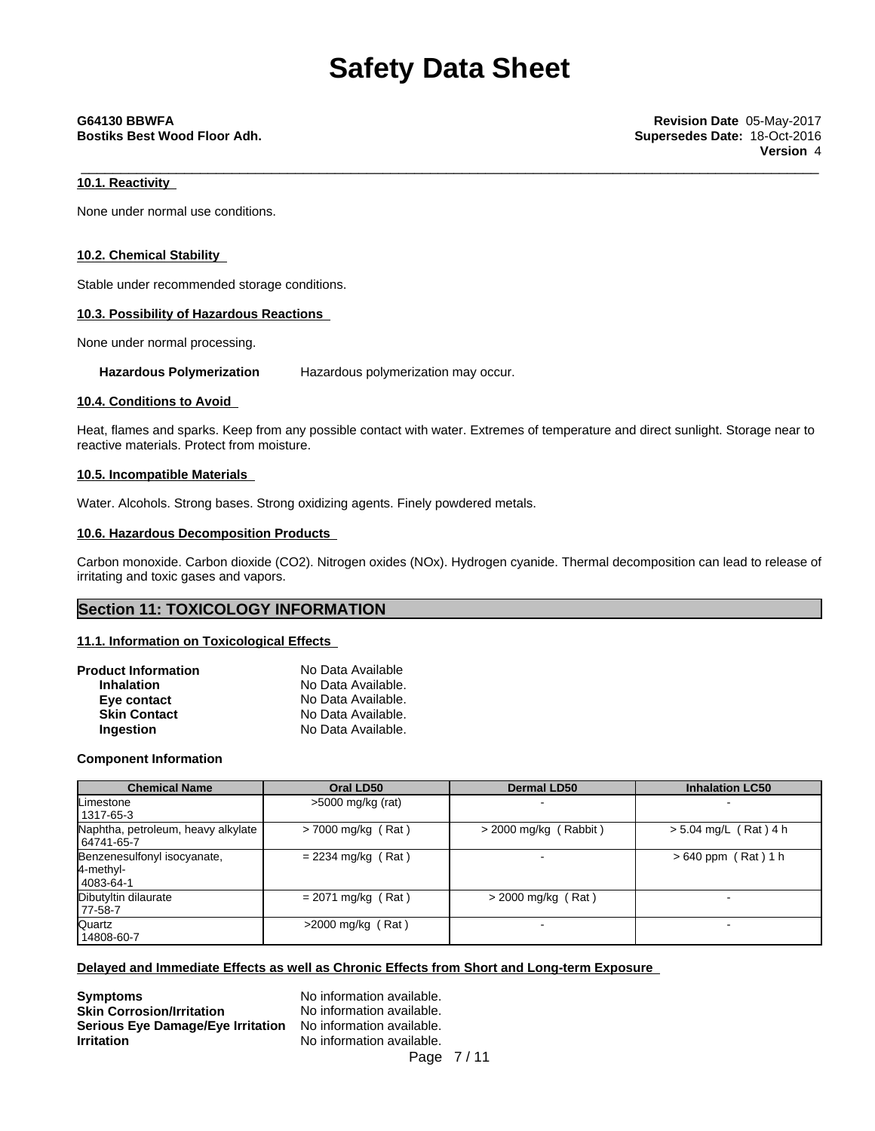\_\_\_\_\_\_\_\_\_\_\_\_\_\_\_\_\_\_\_\_\_\_\_\_\_\_\_\_\_\_\_\_\_\_\_\_\_\_\_\_\_\_\_\_\_\_\_\_\_\_\_\_\_\_\_\_\_\_\_\_\_\_\_\_\_\_\_\_\_\_\_\_\_\_\_\_\_\_\_\_\_\_\_\_\_\_\_\_\_\_\_\_\_ **G64130 BBWFA Revision Date** 05-May-2017 **Bostiks Best Wood Floor Adh. Supersedes Date:** 18-Oct-2016 **Version** 4

# **10.1. Reactivity**

None under normal use conditions.

# **10.2. Chemical Stability**

Stable under recommended storage conditions.

# **10.3. Possibility of Hazardous Reactions**

None under normal processing.

**Hazardous Polymerization** Hazardous polymerization may occur.

# **10.4. Conditions to Avoid**

Heat, flames and sparks. Keep from any possible contact with water. Extremes of temperature and direct sunlight. Storage near to reactive materials. Protect from moisture.

# **10.5. Incompatible Materials**

Water. Alcohols. Strong bases. Strong oxidizing agents. Finely powdered metals.

# **10.6. Hazardous Decomposition Products**

Carbon monoxide. Carbon dioxide (CO2). Nitrogen oxides (NOx). Hydrogen cyanide. Thermal decomposition can lead to release of irritating and toxic gases and vapors.

# **Section 11: TOXICOLOGY INFORMATION**

# **11.1. Information on Toxicological Effects**

| <b>Product Information</b> | No Data Available  |  |
|----------------------------|--------------------|--|
| <b>Inhalation</b>          | No Data Available. |  |
| Eye contact                | No Data Available. |  |
| <b>Skin Contact</b>        | No Data Available. |  |
| Ingestion                  | No Data Available. |  |

# **Component Information**

| <b>Chemical Name</b>                                  | Oral LD50            | <b>Dermal LD50</b>      | <b>Inhalation LC50</b>  |
|-------------------------------------------------------|----------------------|-------------------------|-------------------------|
| Limestone                                             | $>5000$ mg/kg (rat)  |                         |                         |
| 1317-65-3                                             |                      |                         |                         |
| Naphtha, petroleum, heavy alkylate<br>64741-65-7      | $>$ 7000 mg/kg (Rat) | $>$ 2000 mg/kg (Rabbit) | $> 5.04$ mg/L (Rat) 4 h |
| Benzenesulfonyl isocyanate,<br>4-methyl-<br>4083-64-1 | $= 2234$ mg/kg (Rat) |                         | $>640$ ppm (Rat) 1 h    |
| Dibutyltin dilaurate<br>$ 77-58-7$                    | $= 2071$ mg/kg (Rat) | $>$ 2000 mg/kg (Rat)    |                         |
| Quartz<br>  14808-60-7                                | $>2000$ mg/kg (Rat)  |                         |                         |

# **Delayed and Immediate Effects as well as Chronic Effects from Short and Long-term Exposure**

**Symptoms**<br> **Skin Corrosion/Irritation**<br>
No information available. **Skin Corrosion/Irritation Serious Eye Damage/Eye Irritation** No information available. **Irritation** No information available.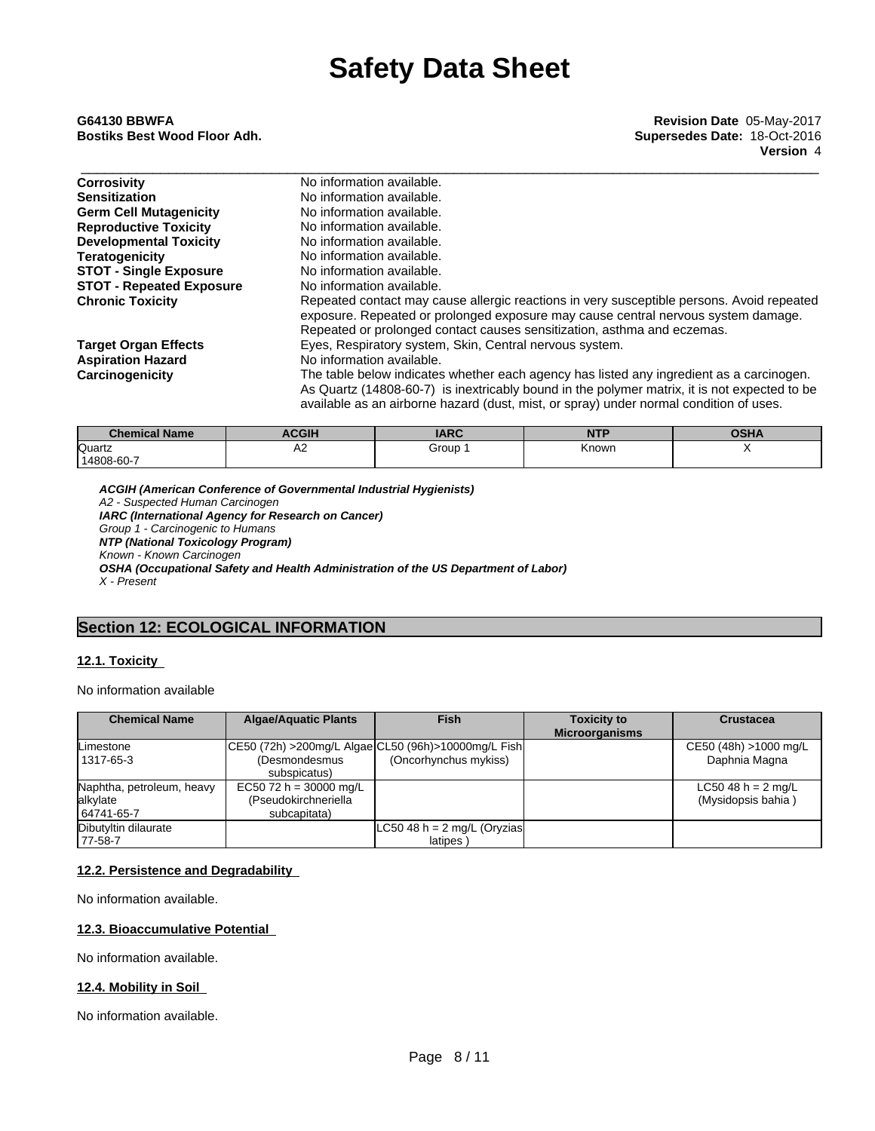| <b>Corrosivity</b>              | No information available.                                                                                                                                                                                                                                                          |
|---------------------------------|------------------------------------------------------------------------------------------------------------------------------------------------------------------------------------------------------------------------------------------------------------------------------------|
| <b>Sensitization</b>            | No information available.                                                                                                                                                                                                                                                          |
| <b>Germ Cell Mutagenicity</b>   | No information available.                                                                                                                                                                                                                                                          |
| <b>Reproductive Toxicity</b>    | No information available.                                                                                                                                                                                                                                                          |
| <b>Developmental Toxicity</b>   | No information available.                                                                                                                                                                                                                                                          |
| <b>Teratogenicity</b>           | No information available.                                                                                                                                                                                                                                                          |
| <b>STOT - Single Exposure</b>   | No information available.                                                                                                                                                                                                                                                          |
| <b>STOT - Repeated Exposure</b> | No information available.                                                                                                                                                                                                                                                          |
| <b>Chronic Toxicity</b>         | Repeated contact may cause allergic reactions in very susceptible persons. Avoid repeated<br>exposure. Repeated or prolonged exposure may cause central nervous system damage.                                                                                                     |
|                                 | Repeated or prolonged contact causes sensitization, asthma and eczemas.                                                                                                                                                                                                            |
| <b>Target Organ Effects</b>     | Eyes, Respiratory system, Skin, Central nervous system.                                                                                                                                                                                                                            |
| <b>Aspiration Hazard</b>        | No information available.                                                                                                                                                                                                                                                          |
| Carcinogenicity                 | The table below indicates whether each agency has listed any ingredient as a carcinogen.<br>As Quartz (14808-60-7) is inextricably bound in the polymer matrix, it is not expected to be<br>available as an airborne hazard (dust, mist, or spray) under normal condition of uses. |
|                                 |                                                                                                                                                                                                                                                                                    |

| <b>Chemical Name</b> | <b>ACGIH</b> | <b>IARC</b> | NITO<br>. | <b>OCLIA</b><br>ינדו |
|----------------------|--------------|-------------|-----------|----------------------|
| Quartz               | ∼            | Group       | Known     |                      |
| 14808-60-7           |              |             |           |                      |

*ACGIH (American Conference of Governmental Industrial Hygienists) A2 - Suspected Human Carcinogen IARC (International Agency for Research on Cancer) Group 1 - Carcinogenic to Humans NTP (National Toxicology Program) Known - Known Carcinogen OSHA (Occupational Safety and Health Administration of the US Department of Labor) X - Present*

# **Section 12: ECOLOGICAL INFORMATION**

# **12.1. Toxicity**

No information available

| <b>Chemical Name</b>      | <b>Algae/Aquatic Plants</b> | <b>Fish</b>                                            | <b>Toxicity to</b>    | <b>Crustacea</b>             |
|---------------------------|-----------------------------|--------------------------------------------------------|-----------------------|------------------------------|
|                           |                             |                                                        | <b>Microorganisms</b> |                              |
| Limestone                 |                             | CE50 (72h) > 200mg/L Algae CL50 (96h) > 10000mg/L Fish |                       | CE50 (48h) >1000 mg/L        |
| 1317-65-3                 | (Desmondesmus               | (Oncorhynchus mykiss)                                  |                       | Daphnia Magna                |
|                           | subspicatus)                |                                                        |                       |                              |
| Naphtha, petroleum, heavy | EC50 72 h = 30000 mg/L      |                                                        |                       | LC50 48 h = $2 \text{ mg/L}$ |
| alkylate                  | (Pseudokirchneriella        |                                                        |                       | (Mysidopsis bahia)           |
| 64741-65-7                | subcapitata)                |                                                        |                       |                              |
| Dibutyltin dilaurate      |                             | LC50 48 h = $2 \text{ mg/L}$ (Oryzias                  |                       |                              |
| 177-58-7                  |                             | latipes                                                |                       |                              |

# **12.2. Persistence and Degradability**

No information available.

# **12.3. Bioaccumulative Potential**

No information available.

# **12.4. Mobility in Soil**

No information available.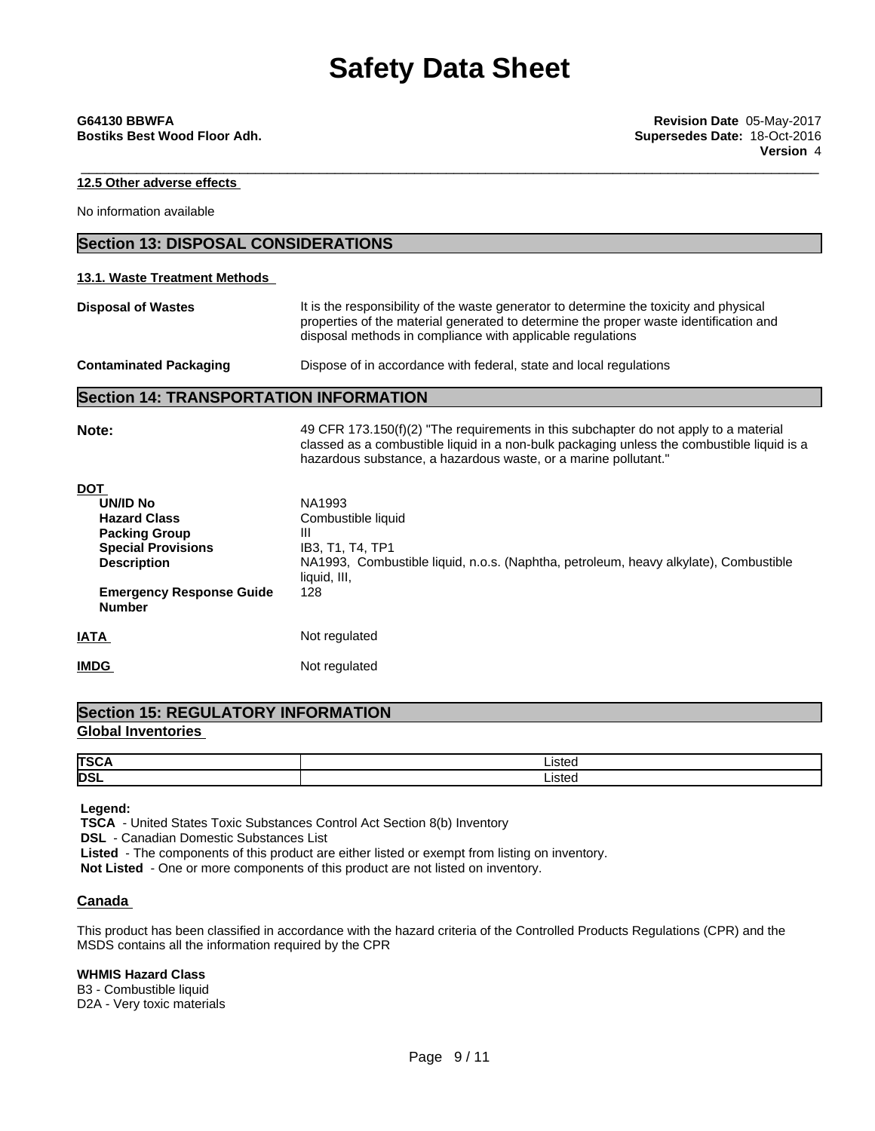\_\_\_\_\_\_\_\_\_\_\_\_\_\_\_\_\_\_\_\_\_\_\_\_\_\_\_\_\_\_\_\_\_\_\_\_\_\_\_\_\_\_\_\_\_\_\_\_\_\_\_\_\_\_\_\_\_\_\_\_\_\_\_\_\_\_\_\_\_\_\_\_\_\_\_\_\_\_\_\_\_\_\_\_\_\_\_\_\_\_\_\_\_ **G64130 BBWFA Revision Date** 05-May-2017 **Bostiks Best Wood Floor Adh. Supersedes Date:** 18-Oct-2016 **Version** 4

**12.5 Other adverse effects**

No information available

# **Section 13: DISPOSAL CONSIDERATIONS**

# **13.1. Waste Treatment Methods**

**Disposal of Wastes** It is the responsibility of the waste generator to determine the toxicity and physical properties of the material generated to determine the proper waste identification and disposal methods in compliance with applicable regulations

| <b>Contaminated Packaging</b> | Dispose of in accordance with federal, state and local regulations |  |
|-------------------------------|--------------------------------------------------------------------|--|
|-------------------------------|--------------------------------------------------------------------|--|

# **Section 14: TRANSPORTATION INFORMATION**

| Note:                                                                                                                                                                        | 49 CFR 173.150(f)(2) "The requirements in this subchapter do not apply to a material<br>classed as a combustible liquid in a non-bulk packaging unless the combustible liquid is a<br>hazardous substance, a hazardous waste, or a marine pollutant." |
|------------------------------------------------------------------------------------------------------------------------------------------------------------------------------|-------------------------------------------------------------------------------------------------------------------------------------------------------------------------------------------------------------------------------------------------------|
| <b>DOT</b><br>UN/ID No<br><b>Hazard Class</b><br><b>Packing Group</b><br><b>Special Provisions</b><br><b>Description</b><br><b>Emergency Response Guide</b><br><b>Number</b> | NA1993<br>Combustible liquid<br>Ш<br>IB3, T1, T4, TP1<br>NA1993, Combustible liquid, n.o.s. (Naphtha, petroleum, heavy alkylate), Combustible<br>liquid, III,<br>128                                                                                  |
| <b>IATA</b>                                                                                                                                                                  | Not regulated                                                                                                                                                                                                                                         |
| <b>IMDG</b>                                                                                                                                                                  | Not regulated                                                                                                                                                                                                                                         |

# **Section 15: REGULATORY INFORMATION Global Inventories**

| <b>TSC</b> | ∟isted |
|------------|--------|
| <b>DSI</b> | ister  |

 **Legend:**

 **TSCA** - United States Toxic Substances Control Act Section 8(b) Inventory

 **DSL** - Canadian Domestic Substances List

 **Listed** - The components of this product are either listed or exempt from listing on inventory.

**Not Listed** - One or more components of this product are not listed on inventory.

# **Canada**

This product has been classified in accordance with the hazard criteria of the Controlled Products Regulations (CPR) and the MSDS contains all the information required by the CPR

# **WHMIS Hazard Class**

B3 - Combustible liquid D2A - Very toxic materials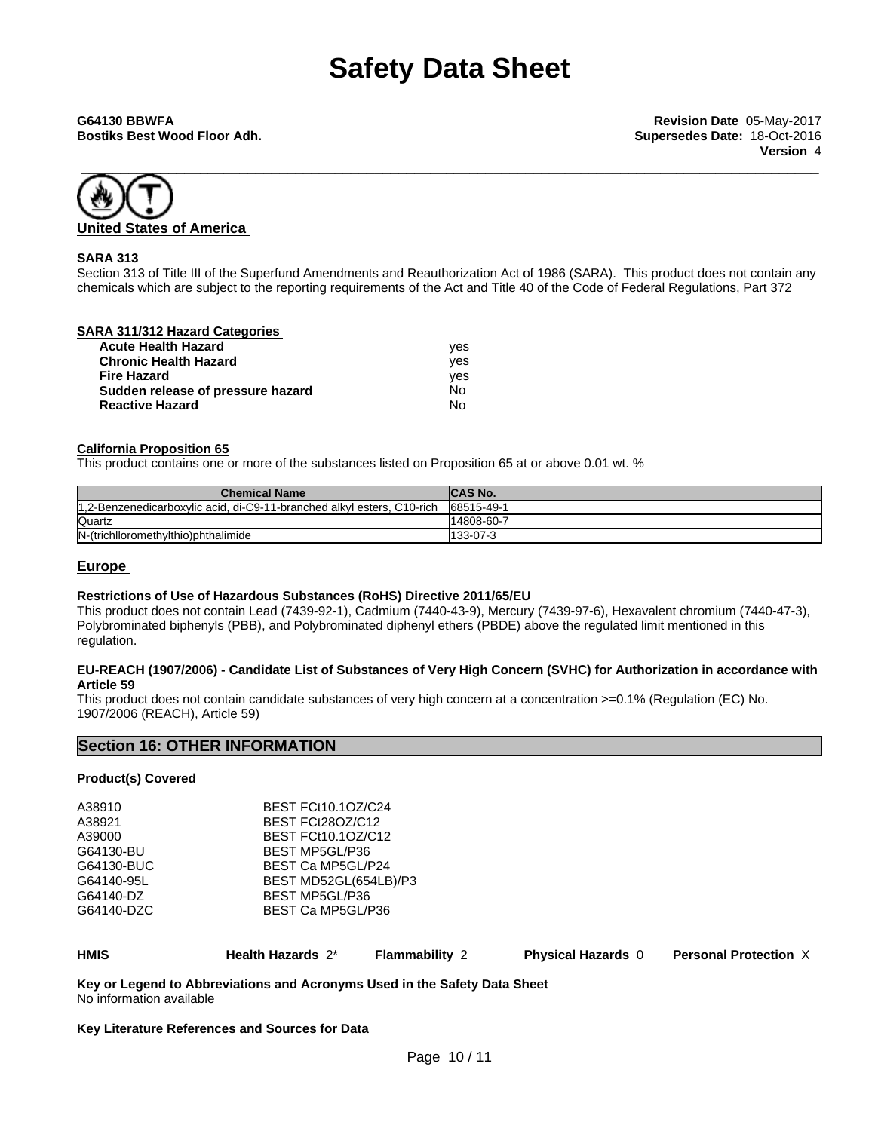**Bostiks Best Wood Floor Adh. Supersedes Date:** 18-Oct-2016



# **SARA 313**

Section 313 of Title III of the Superfund Amendments and Reauthorization Act of 1986 (SARA). This product does not contain any chemicals which are subject to the reporting requirements of the Act and Title 40 of the Code of Federal Regulations, Part 372

# **SARA 311/312 Hazard Categories**

| <b>Acute Health Hazard</b>        | ves |
|-----------------------------------|-----|
| <b>Chronic Health Hazard</b>      | ves |
| <b>Fire Hazard</b>                | ves |
| Sudden release of pressure hazard | No  |
| <b>Reactive Hazard</b>            | No  |

# **California Proposition 65**

This product contains one or more of the substances listed on Proposition 65 at or above 0.01 wt. %

| <b>Chemical Name</b>                                                    | <b>ICAS No.</b> |
|-------------------------------------------------------------------------|-----------------|
| 11.2-Benzenedicarboxylic acid, di-C9-11-branched alkyl esters, C10-rich | 68515-49-1      |
| Quartz                                                                  | 14808-60-7      |
| N-(trichlloromethylthio)phthalimide                                     | 133-07-3        |

# **Europe**

## **Restrictions of Use of Hazardous Substances (RoHS) Directive 2011/65/EU**

This product does not contain Lead (7439-92-1), Cadmium (7440-43-9), Mercury (7439-97-6), Hexavalent chromium (7440-47-3), Polybrominated biphenyls (PBB), and Polybrominated diphenyl ethers (PBDE) above the regulated limit mentioned in this regulation.

### EU-REACH (1907/2006) - Candidate List of Substances of Very High Concern (SVHC) for Authorization in accordance with **Article 59**

This product does not contain candidate substances of very high concern at a concentration >=0.1% (Regulation (EC) No. 1907/2006 (REACH), Article 59)

# **Section 16: OTHER INFORMATION**

# **Product(s) Covered**

| <b>HMIS</b> | Health Hazards 2*         | <b>Flammability 2</b> | <b>Physical Hazards 0</b> | <b>Personal Protection X</b> |  |
|-------------|---------------------------|-----------------------|---------------------------|------------------------------|--|
| G64140-DZC  | BEST Ca MP5GL/P36         |                       |                           |                              |  |
| G64140-DZ   | BEST MP5GL/P36            |                       |                           |                              |  |
| G64140-95L  | BEST MD52GL(654LB)/P3     |                       |                           |                              |  |
| G64130-BUC  | BEST Ca MP5GL/P24         |                       |                           |                              |  |
| G64130-BU   |                           | BEST MP5GL/P36        |                           |                              |  |
| A39000      | BEST FCt10.10Z/C12        |                       |                           |                              |  |
| A38921      | BEST FCt28OZ/C12          |                       |                           |                              |  |
| A38910      | <b>BEST FCt10.1OZ/C24</b> |                       |                           |                              |  |
|             |                           |                       |                           |                              |  |

**Key or Legend to Abbreviations and Acronyms Used in the Safety Data Sheet** No information available

### **Key Literature References and Sources for Data**